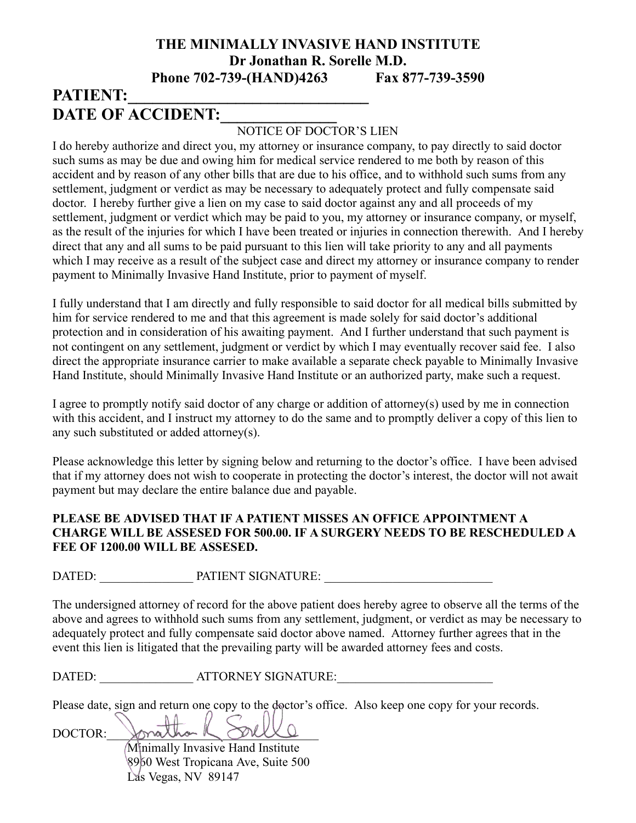### **THE MINIMALLY INVASIVE HAND INSTITUTE Dr Jonathan R. Sorelle M.D. Phone 702-739-(HAND)4263 Fax 877-739-3590**

# PATIENT: **DATE OF ACCIDENT:**

#### NOTICE OF DOCTOR'S LIEN

I do hereby authorize and direct you, my attorney or insurance company, to pay directly to said doctor such sums as may be due and owing him for medical service rendered to me both by reason of this accident and by reason of any other bills that are due to his office, and to withhold such sums from any settlement, judgment or verdict as may be necessary to adequately protect and fully compensate said doctor. I hereby further give a lien on my case to said doctor against any and all proceeds of my settlement, judgment or verdict which may be paid to you, my attorney or insurance company, or myself, as the result of the injuries for which I have been treated or injuries in connection therewith. And I hereby direct that any and all sums to be paid pursuant to this lien will take priority to any and all payments which I may receive as a result of the subject case and direct my attorney or insurance company to render payment to Minimally Invasive Hand Institute, prior to payment of myself.

I fully understand that I am directly and fully responsible to said doctor for all medical bills submitted by him for service rendered to me and that this agreement is made solely for said doctor's additional protection and in consideration of his awaiting payment. And I further understand that such payment is not contingent on any settlement, judgment or verdict by which I may eventually recover said fee. I also direct the appropriate insurance carrier to make available a separate check payable to Minimally Invasive Hand Institute, should Minimally Invasive Hand Institute or an authorized party, make such a request.

I agree to promptly notify said doctor of any charge or addition of attorney(s) used by me in connection with this accident, and I instruct my attorney to do the same and to promptly deliver a copy of this lien to any such substituted or added attorney(s).

Please acknowledge this letter by signing below and returning to the doctor's office. I have been advised that if my attorney does not wish to cooperate in protecting the doctor's interest, the doctor will not await payment but may declare the entire balance due and payable.

#### **PLEASE BE ADVISED THAT IF A PATIENT MISSES AN OFFICE APPOINTMENT A CHARGE WILL BE ASSESED FOR 500.00. IF A SURGERY NEEDS TO BE RESCHEDULED A FEE OF 1200.00 WILL BE ASSESED.**

DATED: PATIENT SIGNATURE:

The undersigned attorney of record for the above patient does hereby agree to observe all the terms of the above and agrees to withhold such sums from any settlement, judgment, or verdict as may be necessary to adequately protect and fully compensate said doctor above named. Attorney further agrees that in the event this lien is litigated that the prevailing party will be awarded attorney fees and costs.

DATED: \_\_\_\_\_\_\_\_\_\_\_\_\_\_\_\_\_ ATTORNEY SIGNATURE:

Please date, sign and return one copy to the doctor's office. Also keep one copy for your records.

DOCTOR: Minimally Invasive Hand Institute 8960 West Tropicana Ave, Suite 500 Las Vegas, NV 89147